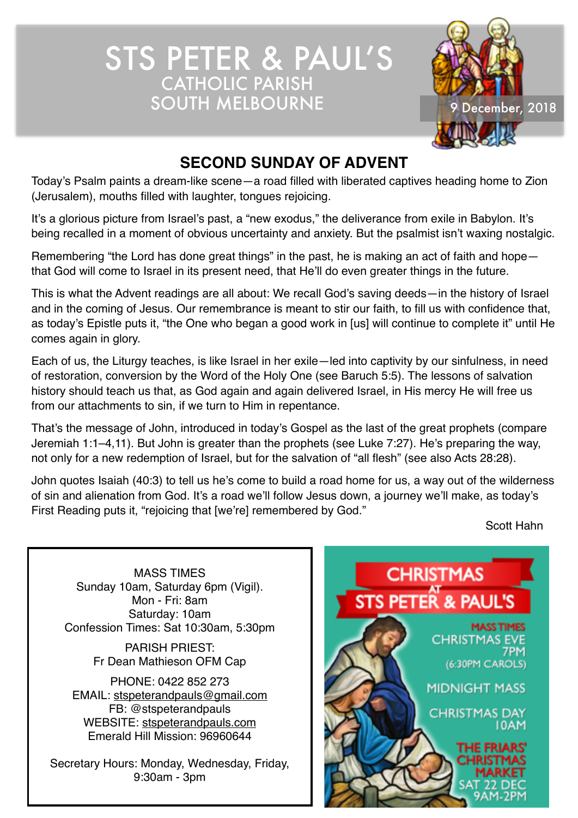STS PETER & PAUL'S CATHOLIC PARISH SOUTH MELBOURNE 9 December, 2018



# **SECOND SUNDAY OF ADVENT**

Today's Psalm paints a dream-like scene—a road filled with liberated captives heading home to Zion (Jerusalem), mouths filled with laughter, tongues rejoicing.

It's a glorious picture from Israel's past, a "new exodus," the deliverance from exile in Babylon. It's being recalled in a moment of obvious uncertainty and anxiety. But the psalmist isn't waxing nostalgic.

Remembering "the Lord has done great things" in the past, he is making an act of faith and hope that God will come to Israel in its present need, that He'll do even greater things in the future.

This is what the Advent readings are all about: We recall God's saving deeds—in the history of Israel and in the coming of Jesus. Our remembrance is meant to stir our faith, to fill us with confidence that, as today's Epistle puts it, "the One who began a good work in [us] will continue to complete it" until He comes again in glory.

Each of us, the Liturgy teaches, is like Israel in her exile—led into captivity by our sinfulness, in need of restoration, conversion by the Word of the Holy One (see Baruch 5:5). The lessons of salvation history should teach us that, as God again and again delivered Israel, in His mercy He will free us from our attachments to sin, if we turn to Him in repentance.

That's the message of John, introduced in today's Gospel as the last of the great prophets (compare Jeremiah 1:1–4,11). But John is greater than the prophets (see Luke 7:27). He's preparing the way, not only for a new redemption of Israel, but for the salvation of "all flesh" (see also Acts 28:28).

John quotes Isaiah (40:3) to tell us he's come to build a road home for us, a way out of the wilderness of sin and alienation from God. It's a road we'll follow Jesus down, a journey we'll make, as today's First Reading puts it, "rejoicing that [we're] remembered by God."

Scott Hahn

MASS TIMES Sunday 10am, Saturday 6pm (Vigil). Mon - Fri: 8am Saturday: 10am Confession Times: Sat 10:30am, 5:30pm

> PARISH PRIEST: Fr Dean Mathieson OFM Cap

PHONE: 0422 852 273 EMAIL: [stspeterandpauls@gmail.com](mailto:stspeterandpauls@gmail.com) FB: @stspeterandpauls WEBSITE: [stspeterandpauls.com](http://stspeterandpauls.com) Emerald Hill Mission: 96960644

Secretary Hours: Monday, Wednesday, Friday, 9:30am - 3pm

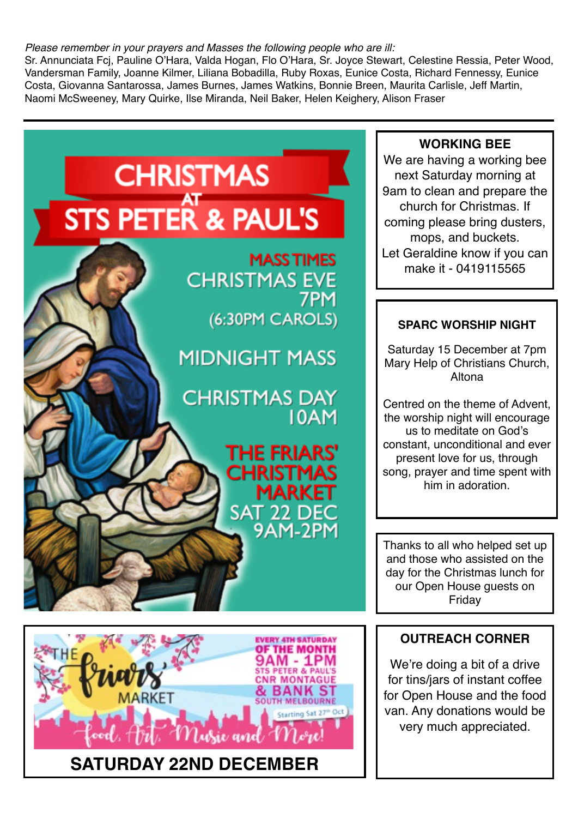#### *Please remember in your prayers and Masses the following people who are ill:*

Sr. Annunciata Fcj, Pauline O'Hara, Valda Hogan, Flo O'Hara, Sr. Joyce Stewart, Celestine Ressia, Peter Wood, Vandersman Family, Joanne Kilmer, Liliana Bobadilla, Ruby Roxas, Eunice Costa, Richard Fennessy, Eunice Costa, Giovanna Santarossa, James Burnes, James Watkins, Bonnie Breen, Maurita Carlisle, Jeff Martin, Naomi McSweeney, Mary Quirke, Ilse Miranda, Neil Baker, Helen Keighery, Alison Fraser



We're doing a bit of a drive for tins/jars of instant coffee for Open House and the food van. Any donations would be very much appreciated.